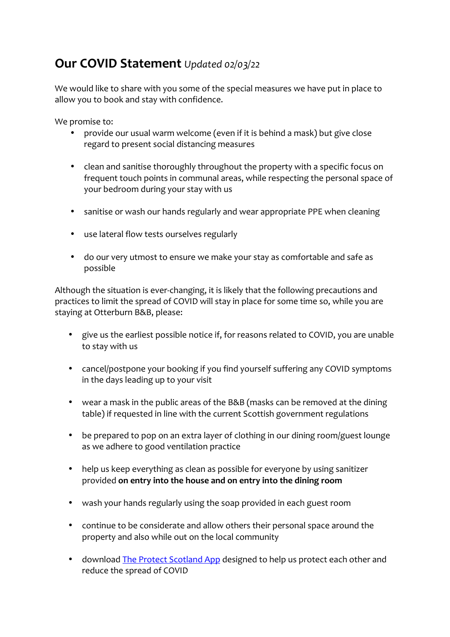# **Our COVID Statement** *Updated 02/03/22*

We would like to share with you some of the special measures we have put in place to allow you to book and stay with confidence.

We promise to:

- provide our usual warm welcome (even if it is behind a mask) but give close regard to present social distancing measures
- clean and sanitise thoroughly throughout the property with a specific focus on frequent touch points in communal areas, while respecting the personal space of your bedroom during your stay with us
- sanitise or wash our hands regularly and wear appropriate PPE when cleaning
- use lateral flow tests ourselves regularly
- do our very utmost to ensure we make your stay as comfortable and safe as possible

Although the situation is ever-changing, it is likely that the following precautions and practices to limit the spread of COVID will stay in place for some time so, while you are staying at Otterburn B&B, please:

- give us the earliest possible notice if, for reasons related to COVID, you are unable to stay with us
- cancel/postpone your booking if you find yourself suffering any COVID symptoms in the days leading up to your visit
- wear a mask in the public areas of the B&B (masks can be removed at the dining table) if requested in line with the current Scottish government regulations
- be prepared to pop on an extra layer of clothing in our dining room/guest lounge as we adhere to good ventilation practice
- help us keep everything as clean as possible for everyone by using sanitizer provided on entry into the house and on entry into the dining room
- wash your hands regularly using the soap provided in each guest room
- continue to be considerate and allow others their personal space around the property and also while out on the local community
- download The Protect Scotland App designed to help us protect each other and reduce the spread of COVID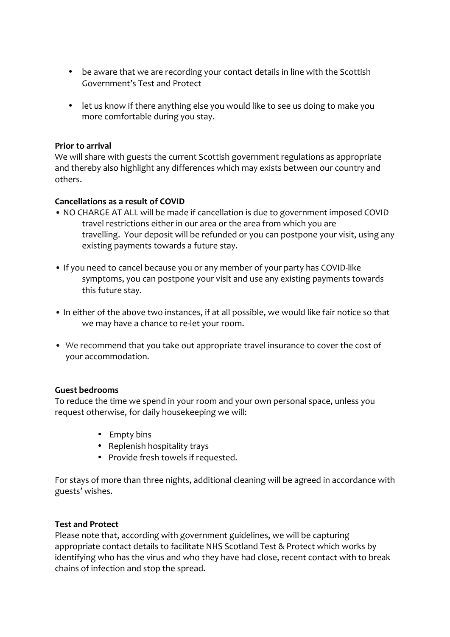- be aware that we are recording your contact details in line with the Scottish Government's Test and Protect
- let us know if there anything else you would like to see us doing to make you more comfortable during you stay.

## **Prior to arrival**

We will share with guests the current Scottish government regulations as appropriate and thereby also highlight any differences which may exists between our country and others.

### **Cancellations** as a result of COVID

- NO CHARGE AT ALL will be made if cancellation is due to government imposed COVID travel restrictions either in our area or the area from which you are travelling. Your deposit will be refunded or you can postpone your visit, using any existing payments towards a future stay.
- If you need to cancel because you or any member of your party has COVID-like symptoms, you can postpone your visit and use any existing payments towards this future stay.
- In either of the above two instances, if at all possible, we would like fair notice so that we may have a chance to re-let your room.
- We recommend that you take out appropriate travel insurance to cover the cost of your accommodation.

#### **Guest bedrooms**

To reduce the time we spend in your room and your own personal space, unless you request otherwise, for daily housekeeping we will:

- Empty bins
- Replenish hospitality trays
- Provide fresh towels if requested.

For stays of more than three nights, additional cleaning will be agreed in accordance with guests' wishes. 

#### **Test and Protect**

Please note that, according with government guidelines, we will be capturing appropriate contact details to facilitate NHS Scotland Test & Protect which works by identifying who has the virus and who they have had close, recent contact with to break chains of infection and stop the spread.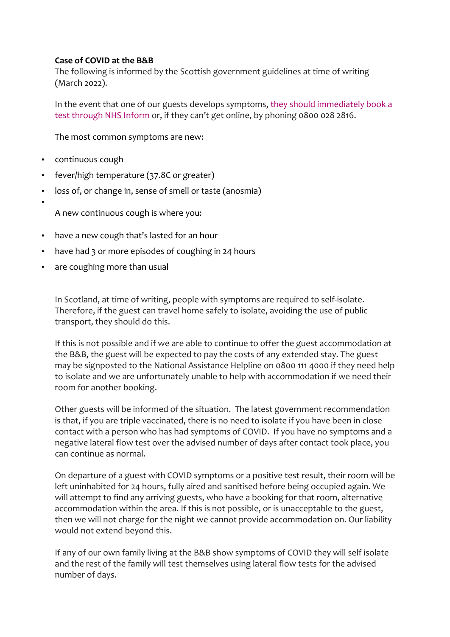# **Case of COVID at the B&B**

The following is informed by the Scottish government guidelines at time of writing (March 2022).

In the event that one of our guests develops symptoms, they should immediately book a test through NHS Inform or, if they can't get online, by phoning 0800 028 2816.

The most common symptoms are new:

• continuous cough

•

- fever/high temperature (37.8C or greater)
- loss of, or change in, sense of smell or taste (anosmia)

A new continuous cough is where you:

- have a new cough that's lasted for an hour
- have had 3 or more episodes of coughing in 24 hours
- are coughing more than usual

In Scotland, at time of writing, people with symptoms are required to self-isolate. Therefore, if the guest can travel home safely to isolate, avoiding the use of public transport, they should do this.

If this is not possible and if we are able to continue to offer the guest accommodation at the B&B, the guest will be expected to pay the costs of any extended stay. The guest may be signposted to the National Assistance Helpline on 0800 111 4000 if they need help to isolate and we are unfortunately unable to help with accommodation if we need their room for another booking.

Other guests will be informed of the situation. The latest government recommendation is that, if you are triple vaccinated, there is no need to isolate if you have been in close contact with a person who has had symptoms of COVID. If you have no symptoms and a negative lateral flow test over the advised number of days after contact took place, you can continue as normal.

On departure of a guest with COVID symptoms or a positive test result, their room will be left uninhabited for 24 hours, fully aired and sanitised before being occupied again. We will attempt to find any arriving guests, who have a booking for that room, alternative accommodation within the area. If this is not possible, or is unacceptable to the guest, then we will not charge for the night we cannot provide accommodation on. Our liability would not extend beyond this.

If any of our own family living at the B&B show symptoms of COVID they will self isolate and the rest of the family will test themselves using lateral flow tests for the advised number of days.